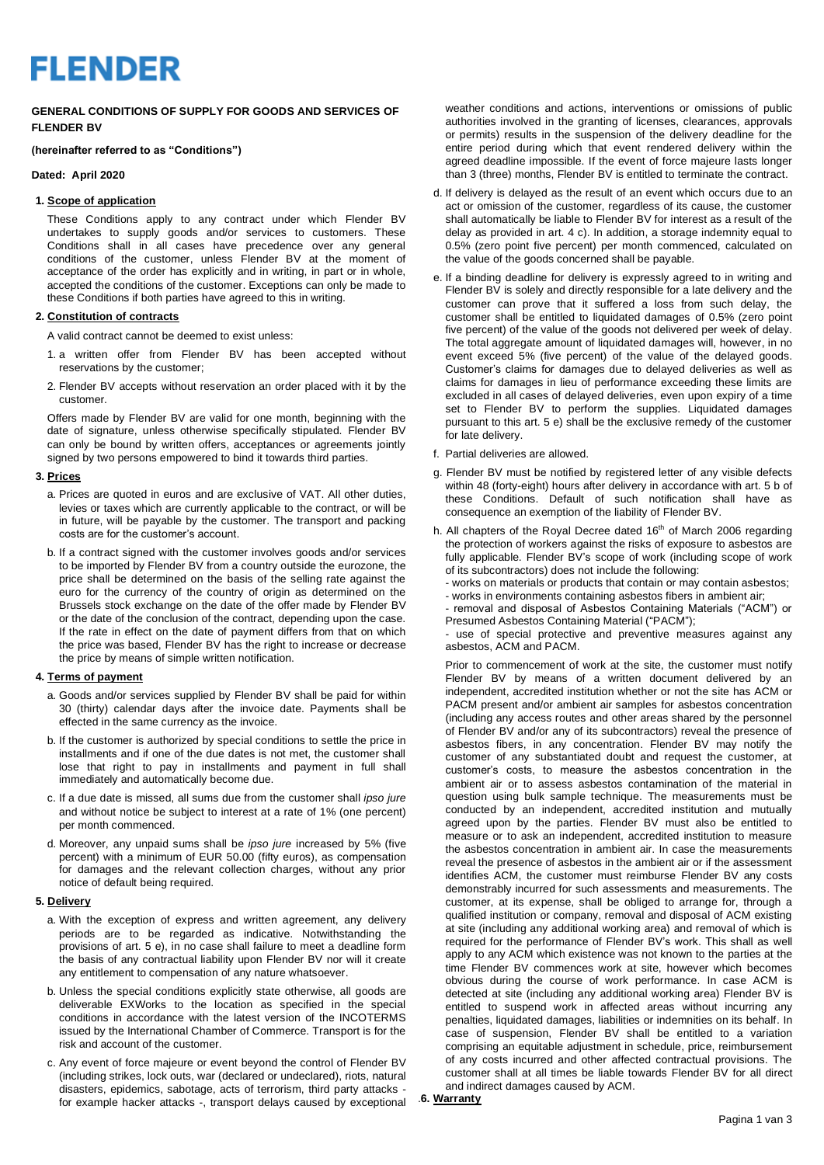# **FLENDER**

## **GENERAL CONDITIONS OF SUPPLY FOR GOODS AND SERVICES OF FLENDER BV**

#### **(hereinafter referred to as "Conditions")**

#### **Dated: April 2020**

#### **1. Scope of application**

These Conditions apply to any contract under which Flender BV undertakes to supply goods and/or services to customers. These Conditions shall in all cases have precedence over any general conditions of the customer, unless Flender BV at the moment of acceptance of the order has explicitly and in writing, in part or in whole, accepted the conditions of the customer. Exceptions can only be made to these Conditions if both parties have agreed to this in writing.

#### **2. Constitution of contracts**

A valid contract cannot be deemed to exist unless:

- 1. a written offer from Flender BV has been accepted without reservations by the customer;
- 2. Flender BV accepts without reservation an order placed with it by the customer.

Offers made by Flender BV are valid for one month, beginning with the date of signature, unless otherwise specifically stipulated. Flender BV can only be bound by written offers, acceptances or agreements jointly signed by two persons empowered to bind it towards third parties.

## **3. Prices**

- a. Prices are quoted in euros and are exclusive of VAT. All other duties, levies or taxes which are currently applicable to the contract, or will be in future, will be payable by the customer. The transport and packing costs are for the customer's account.
- b. If a contract signed with the customer involves goods and/or services to be imported by Flender BV from a country outside the eurozone, the price shall be determined on the basis of the selling rate against the euro for the currency of the country of origin as determined on the Brussels stock exchange on the date of the offer made by Flender BV or the date of the conclusion of the contract, depending upon the case. If the rate in effect on the date of payment differs from that on which the price was based, Flender BV has the right to increase or decrease the price by means of simple written notification.

#### **4. Terms of payment**

- a. Goods and/or services supplied by Flender BV shall be paid for within 30 (thirty) calendar days after the invoice date. Payments shall be effected in the same currency as the invoice.
- b. If the customer is authorized by special conditions to settle the price in installments and if one of the due dates is not met, the customer shall lose that right to pay in installments and payment in full shall immediately and automatically become due.
- c. If a due date is missed, all sums due from the customer shall *ipso jure* and without notice be subject to interest at a rate of 1% (one percent) per month commenced.
- d. Moreover, any unpaid sums shall be *ipso jure* increased by 5% (five percent) with a minimum of EUR 50.00 (fifty euros), as compensation for damages and the relevant collection charges, without any prior notice of default being required.

# **5. Delivery**

- a. With the exception of express and written agreement, any delivery periods are to be regarded as indicative. Notwithstanding the provisions of art. 5 e), in no case shall failure to meet a deadline form the basis of any contractual liability upon Flender BV nor will it create any entitlement to compensation of any nature whatsoever.
- b. Unless the special conditions explicitly state otherwise, all goods are deliverable EXWorks to the location as specified in the special conditions in accordance with the latest version of the INCOTERMS issued by the International Chamber of Commerce. Transport is for the risk and account of the customer.
- c. Any event of force majeure or event beyond the control of Flender BV (including strikes, lock outs, war (declared or undeclared), riots, natural disasters, epidemics, sabotage, acts of terrorism, third party attacks for example hacker attacks -, transport delays caused by exceptional

weather conditions and actions, interventions or omissions of public authorities involved in the granting of licenses, clearances, approvals or permits) results in the suspension of the delivery deadline for the entire period during which that event rendered delivery within the agreed deadline impossible. If the event of force majeure lasts longer than 3 (three) months, Flender BV is entitled to terminate the contract.

- d. If delivery is delayed as the result of an event which occurs due to an act or omission of the customer, regardless of its cause, the customer shall automatically be liable to Flender BV for interest as a result of the delay as provided in art. 4 c). In addition, a storage indemnity equal to 0.5% (zero point five percent) per month commenced, calculated on the value of the goods concerned shall be payable.
- e. If a binding deadline for delivery is expressly agreed to in writing and Flender BV is solely and directly responsible for a late delivery and the customer can prove that it suffered a loss from such delay, the customer shall be entitled to liquidated damages of 0.5% (zero point five percent) of the value of the goods not delivered per week of delay. The total aggregate amount of liquidated damages will, however, in no event exceed 5% (five percent) of the value of the delayed goods. Customer's claims for damages due to delayed deliveries as well as claims for damages in lieu of performance exceeding these limits are excluded in all cases of delayed deliveries, even upon expiry of a time set to Flender BV to perform the supplies. Liquidated damages pursuant to this art. 5 e) shall be the exclusive remedy of the customer for late delivery.
- f. Partial deliveries are allowed.
- g. Flender BV must be notified by registered letter of any visible defects within 48 (forty-eight) hours after delivery in accordance with art. 5 b of these Conditions. Default of such notification shall have as consequence an exemption of the liability of Flender BV.
- h. All chapters of the Royal Decree dated 16<sup>th</sup> of March 2006 regarding the protection of workers against the risks of exposure to asbestos are fully applicable. Flender BV's scope of work (including scope of work of its subcontractors) does not include the following:
	- works on materials or products that contain or may contain asbestos;
	- works in environments containing asbestos fibers in ambient air; - removal and disposal of Asbestos Containing Materials ("ACM") or
	- Presumed Asbestos Containing Material ("PACM");

- use of special protective and preventive measures against any asbestos, ACM and PACM.

Prior to commencement of work at the site, the customer must notify Flender BV by means of a written document delivered by an independent, accredited institution whether or not the site has ACM or PACM present and/or ambient air samples for asbestos concentration (including any access routes and other areas shared by the personnel of Flender BV and/or any of its subcontractors) reveal the presence of asbestos fibers, in any concentration. Flender BV may notify the customer of any substantiated doubt and request the customer, at customer's costs, to measure the asbestos concentration in the ambient air or to assess asbestos contamination of the material in question using bulk sample technique. The measurements must be conducted by an independent, accredited institution and mutually agreed upon by the parties. Flender BV must also be entitled to measure or to ask an independent, accredited institution to measure the asbestos concentration in ambient air. In case the measurements reveal the presence of asbestos in the ambient air or if the assessment identifies ACM, the customer must reimburse Flender BV any costs demonstrably incurred for such assessments and measurements. The customer, at its expense, shall be obliged to arrange for, through a qualified institution or company, removal and disposal of ACM existing at site (including any additional working area) and removal of which is required for the performance of Flender BV's work. This shall as well apply to any ACM which existence was not known to the parties at the time Flender BV commences work at site, however which becomes obvious during the course of work performance. In case ACM is detected at site (including any additional working area) Flender BV is entitled to suspend work in affected areas without incurring any penalties, liquidated damages, liabilities or indemnities on its behalf. In case of suspension, Flender BV shall be entitled to a variation comprising an equitable adjustment in schedule, price, reimbursement of any costs incurred and other affected contractual provisions. The customer shall at all times be liable towards Flender BV for all direct and indirect damages caused by ACM.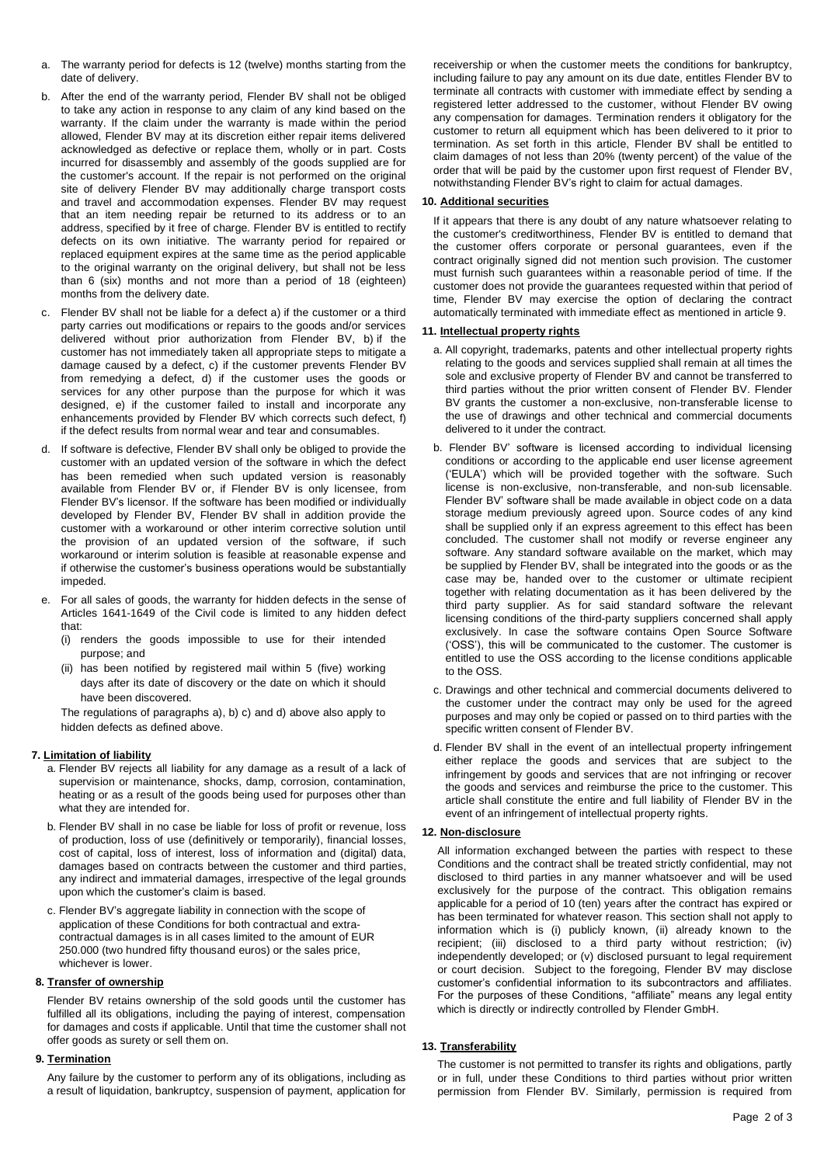- a. The warranty period for defects is 12 (twelve) months starting from the date of delivery.
- b. After the end of the warranty period, Flender BV shall not be obliged to take any action in response to any claim of any kind based on the warranty. If the claim under the warranty is made within the period allowed, Flender BV may at its discretion either repair items delivered acknowledged as defective or replace them, wholly or in part. Costs incurred for disassembly and assembly of the goods supplied are for the customer's account. If the repair is not performed on the original site of delivery Flender BV may additionally charge transport costs and travel and accommodation expenses. Flender BV may request that an item needing repair be returned to its address or to an address, specified by it free of charge. Flender BV is entitled to rectify defects on its own initiative. The warranty period for repaired or replaced equipment expires at the same time as the period applicable to the original warranty on the original delivery, but shall not be less than 6 (six) months and not more than a period of 18 (eighteen) months from the delivery date.
- c. Flender BV shall not be liable for a defect a) if the customer or a third party carries out modifications or repairs to the goods and/or services delivered without prior authorization from Flender BV, b) if the customer has not immediately taken all appropriate steps to mitigate a damage caused by a defect, c) if the customer prevents Flender BV from remedying a defect, d) if the customer uses the goods or services for any other purpose than the purpose for which it was designed, e) if the customer failed to install and incorporate any enhancements provided by Flender BV which corrects such defect, f) if the defect results from normal wear and tear and consumables.
- d. If software is defective, Flender BV shall only be obliged to provide the customer with an updated version of the software in which the defect has been remedied when such updated version is reasonably available from Flender BV or, if Flender BV is only licensee, from Flender BV's licensor. If the software has been modified or individually developed by Flender BV, Flender BV shall in addition provide the customer with a workaround or other interim corrective solution until the provision of an updated version of the software, if such workaround or interim solution is feasible at reasonable expense and if otherwise the customer's business operations would be substantially impeded.
- e. For all sales of goods, the warranty for hidden defects in the sense of Articles 1641-1649 of the Civil code is limited to any hidden defect that:
	- (i) renders the goods impossible to use for their intended purpose; and
	- (ii) has been notified by registered mail within 5 (five) working days after its date of discovery or the date on which it should have been discovered.

The regulations of paragraphs a), b) c) and d) above also apply to hidden defects as defined above.

#### **7. Limitation of liability**

- a. Flender BV rejects all liability for any damage as a result of a lack of supervision or maintenance, shocks, damp, corrosion, contamination, heating or as a result of the goods being used for purposes other than what they are intended for.
- b. Flender BV shall in no case be liable for loss of profit or revenue, loss of production, loss of use (definitively or temporarily), financial losses, cost of capital, loss of interest, loss of information and (digital) data, damages based on contracts between the customer and third parties, any indirect and immaterial damages, irrespective of the legal grounds upon which the customer's claim is based.
- c. Flender BV's aggregate liability in connection with the scope of application of these Conditions for both contractual and extracontractual damages is in all cases limited to the amount of EUR 250.000 (two hundred fifty thousand euros) or the sales price, whichever is lower.

#### **8. Transfer of ownership**

Flender BV retains ownership of the sold goods until the customer has fulfilled all its obligations, including the paying of interest, compensation for damages and costs if applicable. Until that time the customer shall not offer goods as surety or sell them on.

## **9. Termination**

Any failure by the customer to perform any of its obligations, including as a result of liquidation, bankruptcy, suspension of payment, application for receivership or when the customer meets the conditions for bankruptcy, including failure to pay any amount on its due date, entitles Flender BV to terminate all contracts with customer with immediate effect by sending a registered letter addressed to the customer, without Flender BV owing any compensation for damages. Termination renders it obligatory for the customer to return all equipment which has been delivered to it prior to termination. As set forth in this article, Flender BV shall be entitled to claim damages of not less than 20% (twenty percent) of the value of the order that will be paid by the customer upon first request of Flender BV, notwithstanding Flender BV's right to claim for actual damages.

#### **10. Additional securities**

If it appears that there is any doubt of any nature whatsoever relating to the customer's creditworthiness, Flender BV is entitled to demand that the customer offers corporate or personal guarantees, even if the contract originally signed did not mention such provision. The customer must furnish such guarantees within a reasonable period of time. If the customer does not provide the guarantees requested within that period of time, Flender BV may exercise the option of declaring the contract automatically terminated with immediate effect as mentioned in article 9.

#### **11. Intellectual property rights**

- a. All copyright, trademarks, patents and other intellectual property rights relating to the goods and services supplied shall remain at all times the sole and exclusive property of Flender BV and cannot be transferred to third parties without the prior written consent of Flender BV. Flender BV grants the customer a non-exclusive, non-transferable license to the use of drawings and other technical and commercial documents delivered to it under the contract.
- b. Flender BV' software is licensed according to individual licensing conditions or according to the applicable end user license agreement ('EULA') which will be provided together with the software. Such license is non-exclusive, non-transferable, and non-sub licensable. Flender BV' software shall be made available in object code on a data storage medium previously agreed upon. Source codes of any kind shall be supplied only if an express agreement to this effect has been concluded. The customer shall not modify or reverse engineer any software. Any standard software available on the market, which may be supplied by Flender BV, shall be integrated into the goods or as the case may be, handed over to the customer or ultimate recipient together with relating documentation as it has been delivered by the third party supplier. As for said standard software the relevant licensing conditions of the third-party suppliers concerned shall apply exclusively. In case the software contains Open Source Software ('OSS'), this will be communicated to the customer. The customer is entitled to use the OSS according to the license conditions applicable to the OSS.
- c. Drawings and other technical and commercial documents delivered to the customer under the contract may only be used for the agreed purposes and may only be copied or passed on to third parties with the specific written consent of Flender BV.
- d. Flender BV shall in the event of an intellectual property infringement either replace the goods and services that are subject to the infringement by goods and services that are not infringing or recover the goods and services and reimburse the price to the customer. This article shall constitute the entire and full liability of Flender BV in the event of an infringement of intellectual property rights.

## **12. Non-disclosure**

All information exchanged between the parties with respect to these Conditions and the contract shall be treated strictly confidential, may not disclosed to third parties in any manner whatsoever and will be used exclusively for the purpose of the contract. This obligation remains applicable for a period of 10 (ten) years after the contract has expired or has been terminated for whatever reason. This section shall not apply to information which is (i) publicly known, (ii) already known to the recipient; (iii) disclosed to a third party without restriction; (iv) independently developed; or (v) disclosed pursuant to legal requirement or court decision. Subject to the foregoing, Flender BV may disclose customer's confidential information to its subcontractors and affiliates. For the purposes of these Conditions, "affiliate" means any legal entity which is directly or indirectly controlled by Flender GmbH.

#### **13. Transferability**

The customer is not permitted to transfer its rights and obligations, partly or in full, under these Conditions to third parties without prior written permission from Flender BV. Similarly, permission is required from